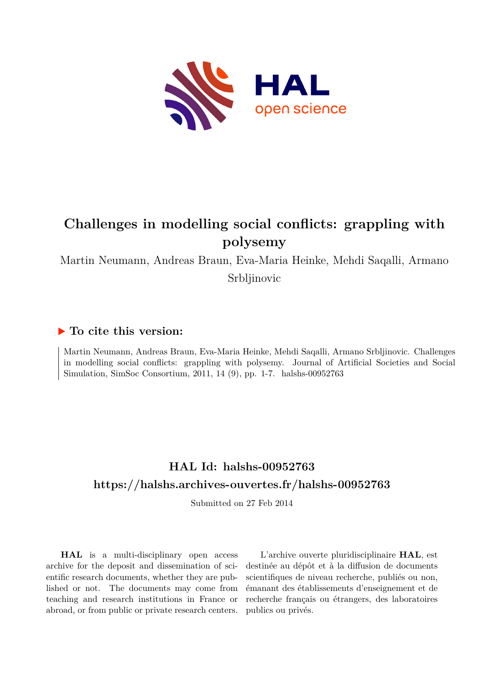

# **Challenges in modelling social conflicts: grappling with polysemy**

Martin Neumann, Andreas Braun, Eva-Maria Heinke, Mehdi Saqalli, Armano Srbljinovic

### **To cite this version:**

Martin Neumann, Andreas Braun, Eva-Maria Heinke, Mehdi Saqalli, Armano Srbljinovic. Challenges in modelling social conflicts: grappling with polysemy. Journal of Artificial Societies and Social Simulation, SimSoc Consortium, 2011, 14 (9), pp. 1-7. halshs-00952763

# **HAL Id: halshs-00952763 <https://halshs.archives-ouvertes.fr/halshs-00952763>**

Submitted on 27 Feb 2014

**HAL** is a multi-disciplinary open access archive for the deposit and dissemination of scientific research documents, whether they are published or not. The documents may come from teaching and research institutions in France or abroad, or from public or private research centers.

L'archive ouverte pluridisciplinaire **HAL**, est destinée au dépôt et à la diffusion de documents scientifiques de niveau recherche, publiés ou non, émanant des établissements d'enseignement et de recherche français ou étrangers, des laboratoires publics ou privés.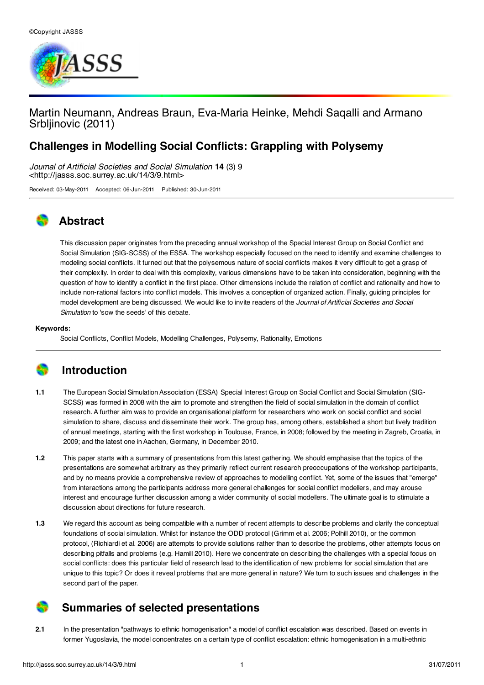

### Martin [Neumann,](http://jasss.soc.surrey.ac.uk/14/3/9/neumann.html) Andreas Braun, Eva-Maria Heinke, Mehdi Saqalli and Armano Srbljinovic (2011)

### **Challenges in Modelling Social Conflicts: Grappling with Polysemy**

Journal of Artificial Societies and Social Simulation **14** (3) 9 <http://jasss.soc.surrey.ac.uk/14/3/9.html>

Received: 03-May-2011 Accepted: 06-Jun-2011 Published: 30-Jun-2011

# **Abstract**

This discussion paper originates from the preceding annual workshop of the Special Interest Group on Social Conflict and Social Simulation (SIG-SCSS) of the ESSA. The workshop especially focused on the need to identify and examine challenges to modeling social conflicts. It turned out that the polysemous nature of social conflicts makes it very difficult to get a grasp of their complexity. In order to deal with this complexity, various dimensions have to be taken into consideration, beginning with the question of how to identify a conflict in the first place. Other dimensions include the relation of conflict and rationality and how to include non-rational factors into conflict models. This involves a conception of organized action. Finally, guiding principles for model development are being discussed. We would like to invite readers of the Journal of Artificial Societies and Social Simulation to 'sow the seeds' of this debate.

#### **Keywords:**

Social Conflicts, Conflict Models, Modelling Challenges, Polysemy, Rationality, Emotions

# **Introduction**

- **1.1** The European Social Simulation Association (ESSA) Special Interest Group on Social Conflict and Social [Simulation](http://www.essa.eu.org/Special Interest Groups/SIGOnSocialConflictAndSocialSimulationSCSS) (SIG-SCSS) was formed in 2008 with the aim to promote and strengthen the field of social simulation in the domain of conflict research. A further aim was to provide an organisational platform for researchers who work on social conflict and social simulation to share, discuss and disseminate their work. The group has, among others, established a short but lively tradition of annual meetings, starting with the first workshop in Toulouse, France, in 2008; followed by the meeting in Zagreb, Croatia, in 2009; and the latest one in Aachen, Germany, in December 2010.
- **1.2** This paper starts with a summary of presentations from this latest gathering. We should emphasise that the topics of the presentations are somewhat arbitrary as they primarily reflect current research preoccupations of the workshop participants, and by no means provide a comprehensive review of approaches to modelling conflict. Yet, some of the issues that "emerge" from interactions among the participants address more general challenges for social conflict modellers, and may arouse interest and encourage further discussion among a wider community of social modellers. The ultimate goal is to stimulate a discussion about directions for future research.
- **1.3** We regard this account as being compatible with a number of recent attempts to describe problems and clarify the conceptual foundations of social simulation. Whilst for instance the ODD protocol [\(Grimm](#page-5-0) et al. 2006; [Polhill](#page-6-0) 2010), or the common protocol, ([Richiardi](#page-6-1) et al. 2006) are attempts to provide solutions rather than to describe the problems, other attempts focus on describing pitfalls and problems (e.g. [Hamill](#page-5-1) 2010). Here we concentrate on describing the challenges with a special focus on social conflicts: does this particular field of research lead to the identification of new problems for social simulation that are unique to this topic? Or does it reveal problems that are more general in nature? We turn to such issues and challenges in the second part of the paper.

## **Summaries of selected presentations**

**2.1** In the presentation "pathways to ethnic homogenisation" a model of conflict escalation was described. Based on events in former Yugoslavia, the model concentrates on a certain type of conflict escalation: ethnic homogenisation in a multi-ethnic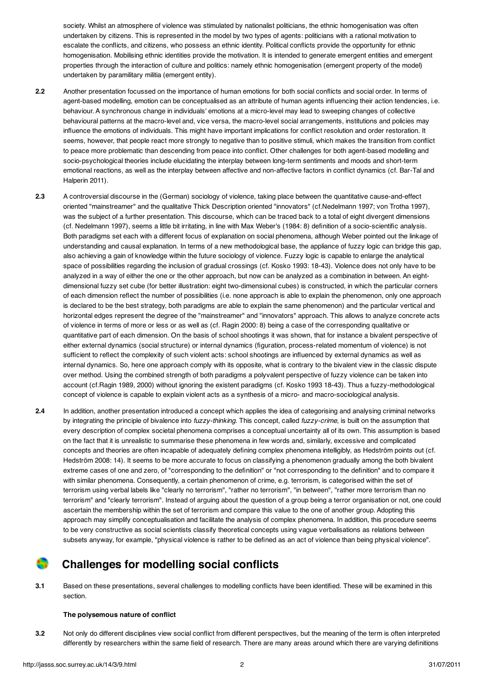society. Whilst an atmosphere of violence was stimulated by nationalist politicians, the ethnic homogenisation was often undertaken by citizens. This is represented in the model by two types of agents: politicians with a rational motivation to escalate the conflicts, and citizens, who possess an ethnic identity. Political conflicts provide the opportunity for ethnic homogenisation. Mobilising ethnic identities provide the motivation. It is intended to generate emergent entities and emergent properties through the interaction of culture and politics: namely ethnic homogenisation (emergent property of the model) undertaken by paramilitary militia (emergent entity).

- **2.2** Another presentation focussed on the importance of human emotions for both social conflicts and social order. In terms of agent-based modelling, emotion can be conceptualised as an attribute of human agents influencing their action tendencies, i.e. behaviour. A synchronous change in individuals' emotions at a micro-level may lead to sweeping changes of collective behavioural patterns at the macro-level and, vice versa, the macro-level social arrangements, institutions and policies may influence the emotions of individuals. This might have important implications for conflict resolution and order restoration. It seems, however, that people react more strongly to negative than to positive stimuli, which makes the transition from conflict to peace more problematic than descending from peace into conflict. Other challenges for both agent-based modelling and socio-psychological theories include elucidating the interplay between long-term sentiments and moods and short-term emotional reactions, as well as the interplay between affective and [non-affective](#page-5-2) factors in conflict dynamics (cf. Bar-Tal and Halperin 2011).
- **2.3** A controversial discourse in the (German) sociology of violence, taking place between the quantitative cause-and-effect oriented "mainstreamer" and the qualitative Thick Description oriented "innovators" (cf[.Nedelmann](#page-6-2) 1997; von [Trotha](#page-6-3) 1997), was the subject of a further presentation. This discourse, which can be traced back to a total of eight divergent dimensions (cf. [Nedelmann](#page-6-2) 1997), seems a little bit irritating, in line with Max Weber's [\(1984](#page-6-4): 8) definition of a socio-scientific analysis. Both paradigms set each with a different focus of explanation on social phenomena, although Weber pointed out the linkage of understanding and causal explanation. In terms of a new methodological base, the appliance of fuzzy logic can bridge this gap, also achieving a gain of knowledge within the future sociology of violence. Fuzzy logic is capable to enlarge the analytical space of possibilities regarding the inclusion of gradual crossings (cf. [Kosko](#page-6-5) 1993: 18-43). Violence does not only have to be analyzed in a way of either the one or the other approach, but now can be analyzed as a combination in between. An eightdimensional fuzzy set cube (for better illustration: eight two-dimensional cubes) is constructed, in which the particular corners of each dimension reflect the number of possibilities (i.e. none approach is able to explain the phenomenon, only one approach is declared to be the best strategy, both paradigms are able to explain the same phenomenon) and the particular vertical and horizontal edges represent the degree of the "mainstreamer" and "innovators" approach. This allows to analyze concrete acts of violence in terms of more or less or as well as (cf. [Ragin](#page-6-6) 2000: 8) being a case of the corresponding qualitative or quantitative part of each dimension. On the basis of school shootings it was shown, that for instance a bivalent perspective of either external dynamics (social structure) or internal dynamics (figuration, process-related momentum of violence) is not sufficient to reflect the complexity of such violent acts: school shootings are influenced by external dynamics as well as internal dynamics. So, here one approach comply with its opposite, what is contrary to the bivalent view in the classic dispute over method. Using the combined strength of both paradigms a polyvalent perspective of fuzzy violence can be taken into account (cf[.Ragin](#page-6-7) 1989, 2000) without ignoring the existent paradigms (cf. [Kosko](#page-6-5) 1993 18-43). Thus a fuzzy-methodological concept of violence is capable to explain violent acts as a synthesis of a micro- and macro-sociological analysis.
- **2.4** In addition, another presentation introduced a concept which applies the idea of categorising and analysing criminal networks by integrating the principle of bivalence into fuzzy-thinking. This concept, called fuzzy-crime, is built on the assumption that every description of complex societal phenomena comprises a conceptual uncertainty all of its own. This assumption is based on the fact that it is unrealistic to summarise these phenomena in few words and, similarly, excessive and complicated concepts and theories are often incapable of adequately defining complex phenomena intelligibly, as Hedström points out (cf. [Hedström](#page-5-3) 2008: 14). It seems to be more accurate to focus on classifying a phenomenon gradually among the both bivalent extreme cases of one and zero, of "corresponding to the definition" or "not corresponding to the definition" and to compare it with similar phenomena. Consequently, a certain phenomenon of crime, e.g. terrorism, is categorised within the set of terrorism using verbal labels like "clearly no terrorism", "rather no terrorism", "in between", "rather more terrorism than no terrorism" and "clearly terrorism". Instead of arguing about the question of a group being a terror organisation or not, one could ascertain the membership within the set of terrorism and compare this value to the one of another group. Adopting this approach may simplify conceptualisation and facilitate the analysis of complex phenomena. In addition, this procedure seems to be very constructive as social scientists classify theoretical concepts using vague verbalisations as relations between subsets anyway, for example, "physical violence is rather to be defined as an act of violence than being physical violence".

## **Challenges for modelling social conflicts**

**3.1** Based on these presentations, several challenges to modelling conflicts have been identified. These will be examined in this section.

#### **The polysemous nature of conflict**

**3.2** Not only do different disciplines view social conflict from different perspectives, but the meaning of the term is often interpreted differently by researchers within the same field of research. There are many areas around which there are varying definitions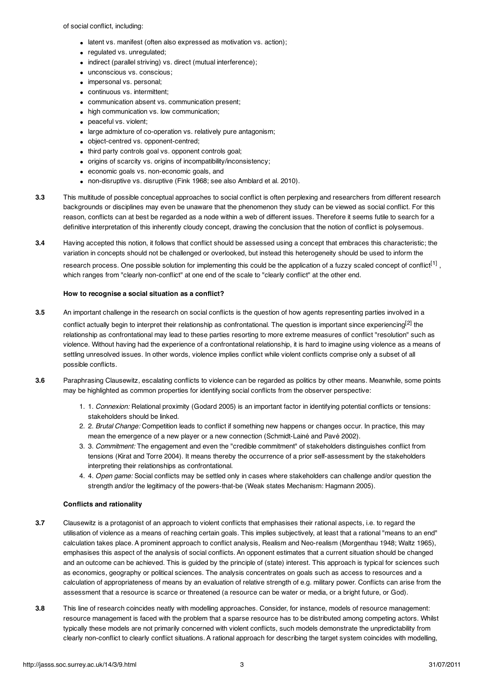of social conflict, including:

- latent vs. manifest (often also expressed as motivation vs. action):
- regulated vs. unregulated;
- indirect (parallel striving) vs. direct (mutual interference);
- unconscious vs. conscious;
- impersonal vs. personal:
- continuous vs. intermittent;
- communication absent vs. communication present;
- high communication vs. low communication;
- peaceful vs. violent:
- large admixture of co-operation vs. relatively pure antagonism;
- object-centred vs. opponent-centred;
- third party controls goal vs. opponent controls goal;
- origins of scarcity vs. origins of incompatibility/inconsistency;
- economic goals vs. non-economic goals, and
- non-disruptive vs. disruptive (Fink [1968](#page-5-4); see also [Amblard](#page-5-5) et al. 2010).
- **3.3** This multitude of possible conceptual approaches to social conflict is often perplexing and researchers from different research backgrounds or disciplines may even be unaware that the phenomenon they study can be viewed as social conflict. For this reason, conflicts can at best be regarded as a node within a web of different issues. Therefore it seems futile to search for a definitive interpretation of this inherently cloudy concept, drawing the conclusion that the notion of conflict is polysemous.
- **3.4** Having accepted this notion, it follows that conflict should be assessed using a concept that embraces this characteristic; the variation in concepts should not be challenged or overlooked, but instead this heterogeneity should be used to inform the research process. One possible solution for implementing this could be the application of a fuzzy scaled concept of conflict<sup>[\[1\]](#page-4-0)</sup>, which ranges from "clearly non-conflict" at one end of the scale to "clearly conflict" at the other end.

#### **How to recognise a social situation as a conflict?**

- **3.5** An important challenge in the research on social conflicts is the question of how agents representing parties involved in a conflict actually begin to interpret their relationship as confrontational. The question is important since experiencing<sup>[\[2\]](#page-4-1)</sup> the relationship as confrontational may lead to these parties resorting to more extreme measures of conflict "resolution" such as violence. Without having had the experience of a confrontational relationship, it is hard to imagine using violence as a means of settling unresolved issues. In other words, violence implies conflict while violent conflicts comprise only a subset of all possible conflicts.
- **3.6** Paraphrasing Clausewitz, escalating conflicts to violence can be regarded as politics by other means. Meanwhile, some points may be highlighted as common properties for identifying social conflicts from the observer perspective:
	- 1. 1. Connexion: Relational proximity [\(Godard](#page-5-6) 2005) is an important factor in identifying potential conflicts or tensions: stakeholders should be linked.
	- 2. 2. Brutal Change: Competition leads to conflict if something new happens or changes occur. In practice, this may mean the emergence of a new player or a new connection [\(Schmidt-Lainé](#page-6-8) and Pavé 2002).
	- 3. 3. Commitment: The engagement and even the "credible commitment" of stakeholders distinguishes conflict from tensions (Kirat and [Torre](#page-5-7) 2004). It means thereby the occurrence of a prior self-assessment by the stakeholders interpreting their relationships as confrontational.
	- 4. 4. Open game: Social conflicts may be settled only in cases where stakeholders can challenge and/or question the strength and/or the legitimacy of the powers-that-be (Weak states Mechanism: [Hagmann](#page-5-8) 2005).

#### **Conflicts and rationality**

- **3.7** Clausewitz is a protagonist of an approach to violent conflicts that emphasises their rational aspects, i.e. to regard the utilisation of violence as a means of reaching certain goals. This implies subjectively, at least that a rational "means to an end" calculation takes place. A prominent approach to conflict analysis, Realism and Neo-realism [\(Morgenthau](#page-6-9) 1948; [Waltz](#page-6-10) 1965), emphasises this aspect of the analysis of social conflicts. An opponent estimates that a current situation should be changed and an outcome can be achieved. This is guided by the principle of (state) interest. This approach is typical for sciences such as economics, geography or political sciences. The analysis concentrates on goals such as access to resources and a calculation of appropriateness of means by an evaluation of relative strength of e.g. military power. Conflicts can arise from the assessment that a resource is scarce or threatened (a resource can be water or media, or a bright future, or God).
- **3.8** This line of research coincides neatly with modelling approaches. Consider, for instance, models of resource management: resource management is faced with the problem that a sparse resource has to be distributed among competing actors. Whilst typically these models are not primarily concerned with violent conflicts, such models demonstrate the unpredictability from clearly non-conflict to clearly conflict situations. A rational approach for describing the target system coincides with modelling,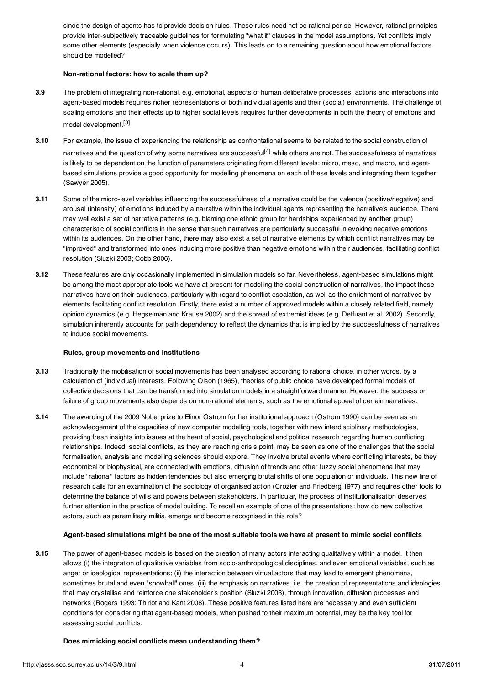since the design of agents has to provide decision rules. These rules need not be rational per se. However, rational principles provide inter-subjectively traceable guidelines for formulating "what if" clauses in the model assumptions. Yet conflicts imply some other elements (especially when violence occurs). This leads on to a remaining question about how emotional factors should be modelled?

#### **Non-rational factors: how to scale them up?**

- **3.9** The problem of integrating non-rational, e.g. emotional, aspects of human deliberative processes, actions and interactions into agent-based models requires richer representations of both individual agents and their (social) environments. The challenge of scaling emotions and their effects up to higher social levels requires further developments in both the theory of emotions and model development. [\[3\]](#page-4-2)
- **3.10** For example, the issue of experiencing the relationship as confrontational seems to be related to the social construction of narratives and the question of why some narratives are successful<sup>[\[4\]](#page-5-9)</sup> while others are not. The successfulness of narratives is likely to be dependent on the function of parameters originating from different levels: micro, meso, and macro, and agentbased simulations provide a good opportunity for modelling phenomena on each of these levels and integrating them together (Sawyer 2005).
- **3.11** Some of the micro-level variables influencing the successfulness of a narrative could be the valence (positive/negative) and arousal (intensity) of emotions induced by a narrative within the individual agents representing the narrative's audience. There may well exist a set of narrative patterns (e.g. blaming one ethnic group for hardships experienced by another group) characteristic of social conflicts in the sense that such narratives are particularly successful in evoking negative emotions within its audiences. On the other hand, there may also exist a set of narrative elements by which conflict narratives may be "improved" and transformed into ones inducing more positive than negative emotions within their audiences, facilitating conflict resolution ([Sluzki](#page-6-11) 2003; [Cobb](#page-5-10) 2006).
- **3.12** These features are only occasionally implemented in simulation models so far. Nevertheless, agent-based simulations might be among the most appropriate tools we have at present for modelling the social construction of narratives, the impact these narratives have on their audiences, particularly with regard to conflict escalation, as well as the enrichment of narratives by elements facilitating conflict resolution. Firstly, there exist a number of approved models within a closely related field, namely opinion dynamics (e.g. [Hegselman](#page-5-11) and Krause 2002) and the spread of extremist ideas (e.g. [Deffuant](#page-5-12) et al. 2002). Secondly, simulation inherently accounts for path dependency to reflect the dynamics that is implied by the successfulness of narratives to induce social movements.

#### **Rules, group movements and institutions**

- **3.13** Traditionally the mobilisation of social movements has been analysed according to rational choice, in other words, by a calculation of (individual) interests. Following Olson [\(1965](#page-6-12)), theories of public choice have developed formal models of collective decisions that can be transformed into simulation models in a straightforward manner. However, the success or failure of group movements also depends on non-rational elements, such as the emotional appeal of certain narratives.
- **3.14** The awarding of the 2009 Nobel prize to Elinor Ostrom for her institutional approach (Ostrom 1990) can be seen as an acknowledgement of the capacities of new computer modelling tools, together with new interdisciplinary methodologies, providing fresh insights into issues at the heart of social, psychological and political research regarding human conflicting relationships. Indeed, social conflicts, as they are reaching crisis point, may be seen as one of the challenges that the social formalisation, analysis and modelling sciences should explore. They involve brutal events where conflicting interests, be they economical or biophysical, are connected with emotions, diffusion of trends and other fuzzy social phenomena that may include "rational" factors as hidden tendencies but also emerging brutal shifts of one population or individuals. This new line of research calls for an examination of the sociology of organised action (Crozier and [Friedberg](#page-5-13) 1977) and requires other tools to determine the balance of wills and powers between stakeholders. In particular, the process of institutionalisation deserves further attention in the practice of model building. To recall an example of one of the presentations: how do new collective actors, such as paramilitary militia, emerge and become recognised in this role?

#### <span id="page-4-1"></span><span id="page-4-0"></span>Agent-based simulations might be one of the most suitable tools we have at present to mimic social conflicts

**3.15** The power of agent-based models is based on the creation of many actors interacting qualitatively within a model. It then allows (i) the integration of qualitative variables from socio-anthropological disciplines, and even emotional variables, such as anger or ideological representations; (ii) the interaction between virtual actors that may lead to emergent phenomena, sometimes brutal and even "snowball" ones; (iii) the emphasis on narratives, i.e. the creation of representations and ideologies that may crystallise and reinforce one stakeholder's position ([Sluzki](#page-6-11) 2003), through innovation, diffusion processes and networks [\(Rogers](#page-6-13) 1993; [Thiriot](#page-6-14) and Kant 2008). These positive features listed here are necessary and even sufficient conditions for considering that agent-based models, when pushed to their maximum potential, may be the key tool for assessing social conflicts.

#### <span id="page-4-2"></span>**Does mimicking social conflicts mean understanding them?**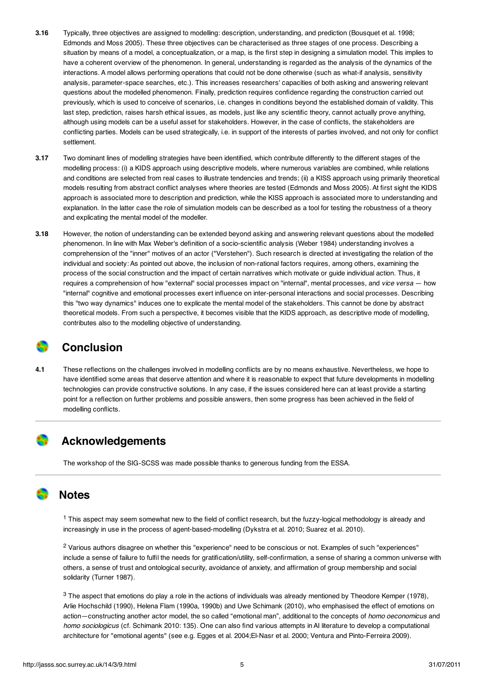- <span id="page-5-9"></span><span id="page-5-5"></span>**3.16** Typically, three objectives are assigned to modelling: description, understanding, and prediction ([Bousquet](#page-5-14) et al. 1998; [Edmonds](#page-5-15) and Moss 2005). These three objectives can be characterised as three stages of one process. Describing a situation by means of a model, a conceptualization, or a map, is the first step in designing a simulation model. This implies to have a coherent overview of the phenomenon. In general, understanding is regarded as the analysis of the dynamics of the interactions. A model allows performing operations that could not be done otherwise (such as what-if analysis, sensitivity analysis, parameter-space searches, etc.). This increases researchers' capacities of both asking and answering relevant questions about the modelled phenomenon. Finally, prediction requires confidence regarding the construction carried out previously, which is used to conceive of scenarios, i.e. changes in conditions beyond the established domain of validity. This last step, prediction, raises harsh ethical issues, as models, just like any scientific theory, cannot actually prove anything, although using models can be a useful asset for stakeholders. However, in the case of conflicts, the stakeholders are conflicting parties. Models can be used strategically, i.e. in support of the interests of parties involved, and not only for conflict settlement.
- <span id="page-5-14"></span><span id="page-5-10"></span><span id="page-5-2"></span>**3.17** Two dominant lines of modelling strategies have been identified, which contribute differently to the different stages of the modelling process: (i) a KIDS approach using descriptive models, where numerous variables are combined, while relations and conditions are selected from real cases to illustrate tendencies and trends; (ii) a KISS approach using primarily theoretical models resulting from abstract conflict analyses where theories are tested [\(Edmonds](#page-5-15) and Moss 2005). At first sight the KIDS approach is associated more to description and prediction, while the KISS approach is associated more to understanding and explanation. In the latter case the role of simulation models can be described as a tool for testing the robustness of a theory and explicating the mental model of the modeller.
- <span id="page-5-16"></span><span id="page-5-13"></span><span id="page-5-12"></span>**3.18** However, the notion of understanding can be extended beyond asking and answering relevant questions about the modelled phenomenon. In line with Max Weber's definition of a socio-scientific analysis [\(Weber](#page-6-4) 1984) understanding involves a comprehension of the "inner" motives of an actor ("Verstehen"). Such research is directed at investigating the relation of the individual and society: As pointed out above, the inclusion of non-rational factors requires, among others, examining the process of the social construction and the impact of certain narratives which motivate or guide individual action. Thus, it requires a comprehension of how "external" social processes impact on "internal", mental processes, and *vice versa* – how "internal" cognitive and emotional processes exert influence on inter-personal interactions and social processes. Describing this "two way dynamics" induces one to explicate the mental model of the stakeholders. This cannot be done by abstract theoretical models. From such a perspective, it becomes visible that the KIDS approach, as descriptive mode of modelling, contributes also to the modelling objective of understanding.

### <span id="page-5-22"></span><span id="page-5-21"></span><span id="page-5-15"></span>**Conclusion**

<span id="page-5-19"></span><span id="page-5-4"></span>**4.1** These reflections on the challenges involved in modelling conflicts are by no means exhaustive. Nevertheless, we hope to have identified some areas that deserve attention and where it is reasonable to expect that future developments in modelling technologies can provide constructive solutions. In any case, if the issues considered here can at least provide a starting point for a reflection on further problems and possible answers, then some progress has been achieved in the field of modelling conflicts.

## <span id="page-5-20"></span>**Acknowledgements**

<span id="page-5-6"></span><span id="page-5-0"></span>The workshop of the SIG-SCSS was made possible thanks to generous funding from the ESSA.

### **Notes**

<span id="page-5-8"></span><span id="page-5-1"></span><sup>1</sup> This aspect may seem somewhat new to the field of conflict research, but the fuzzy-logical methodology is already and increasingly in use in the process of agent-based-modelling [\(Dykstra](#page-5-16) et al. 2010; [Suarez](#page-6-15) et al. 2010).

<span id="page-5-11"></span><span id="page-5-3"></span><sup>2</sup> Various authors disagree on whether this "experience" need to be conscious or not. Examples of such "experiences" include a sense of failure to fulfil the needs for gratification/utility, self-confirmation, a sense of sharing a common universe with others, a sense of trust and ontological security, avoidance of anxiety, and affirmation of group membership and social solidarity ([Turner](#page-6-16) 1987).

<span id="page-5-18"></span><span id="page-5-17"></span><span id="page-5-7"></span> $3$  The aspect that emotions do play a role in the actions of individuals was already mentioned by Theodore Kemper [\(1978](#page-5-17)), Arlie Hochschild [\(1990](#page-5-18)), Helena Flam [\(1990a](#page-5-19), [1990b](#page-5-20)) and Uwe Schimank [\(2010](#page-6-17)), who emphasised the effect of emotions on action—constructing another actor model, the so called "emotional man", additional to the concepts of homo oeconomicus and homo sociologicus (cf. [Schimank](#page-6-17) 2010: 135). One can also find various attempts in AI literature to develop a computational architecture for "emotional agents" (see e.g. [Egges](#page-5-21) et al. 2004[;El-Nasr](#page-5-22) et al. 2000; Ventura and [Pinto-Ferreira](#page-6-18) 2009).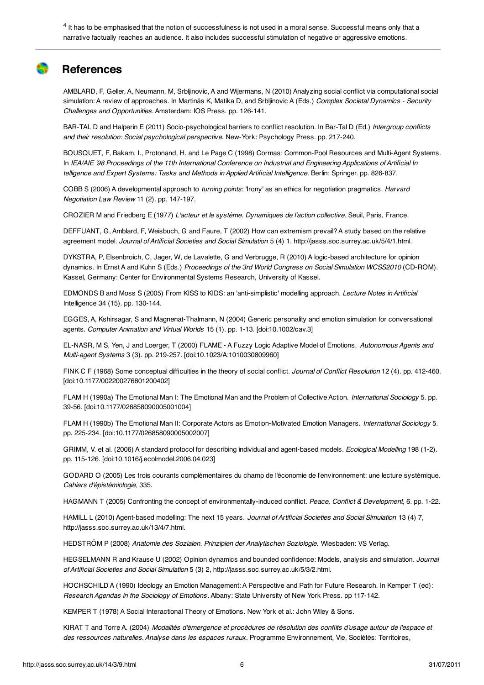<span id="page-6-5"></span><sup>4</sup> It has to be emphasised that the notion of successfulness is not used in a moral sense. Successful means only that a narrative factually reaches an audience. It also includes successful stimulation of negative or aggressive emotions.

### <span id="page-6-9"></span>**References**

<span id="page-6-2"></span>AMBLARD, F, Geller, A, Neumann, M, Srbljinovic, A and Wijermans, N (2010) Analyzing social conflict via computational social simulation: A review of approaches. In Martinás K, Matika D, and Srbljinovic A (Eds.) Complex Societal Dynamics - Security Challenges and Opportunities. Amsterdam: IOS Press. pp. 126-141.

<span id="page-6-12"></span>BAR-TAL D and Halperin E (2011) Socio-psychological barriers to conflict resolution. In Bar-Tal D (Ed.) Intergroup conflicts and their resolution: Social psychological perspective. New-York: Psychology Press. pp. 217-240.

<span id="page-6-0"></span>BOUSQUET, F, Bakam, I., Protonand, H. and Le Page C (1998) Cormas: Common-Pool Resources and Multi-Agent Systems. In IEA/AIE '98 Proceedings of the 11th International Conference on Industrial and Engineering Applications of Artificial In telligence and Expert Systems: Tasks and Methods in Applied Artificial Intelligence. Berlin: Springer. pp. 826-837.

<span id="page-6-7"></span>COBB S (2006) A developmental approach to turning points: 'Irony' as an ethics for negotiation pragmatics. Harvard Negotiation Law Review 11 (2). pp. 147-197.

<span id="page-6-6"></span>CROZIER M and Friedberg E (1977) L'acteur et le système. Dynamiques de l'action collective. Seuil, Paris, France.

<span id="page-6-1"></span>DEFFUANT, G, Amblard, F, Weisbuch, G and Faure, T (2002) How can extremism prevail? A study based on the relative agreement model. Journal of Artificial Societies and Social Simulation 5 (4) 1, <http://jasss.soc.surrey.ac.uk/5/4/1.html>.

<span id="page-6-13"></span>DYKSTRA, P, Elsenbroich, C, Jager, W, de Lavalette, G and Verbrugge, R (2010) A logic-based architecture for opinion dynamics. In Ernst A and Kuhn S (Eds.) Proceedings of the 3rd World Congress on Social Simulation WCSS2010 (CD-ROM). Kassel, Germany: Center for Environmental Systems Research, University of Kassel.

EDMONDS B and Moss S (2005) From KISS to KIDS: an 'anti-simplistic' modelling approach. Lecture Notes in Artificial Intelligence 34 (15). pp. 130-144.

<span id="page-6-17"></span><span id="page-6-8"></span>EGGES, A, Kshirsagar, S and Magnenat-Thalmann, N (2004) Generic personality and emotion simulation for conversational agents. Computer Animation and Virtual Worlds 15 (1). pp. 1-13. [\[doi:10.1002/cav.3\]](http://dx.doi.org/10.1002/cav.3)

<span id="page-6-11"></span>EL-NASR, M S, Yen, J and Loerger, T (2000) FLAME - A Fuzzy Logic Adaptive Model of Emotions, Autonomous Agents and Multi-agent Systems 3 (3). pp. 219-257. [\[doi:10.1023/A:1010030809960\]](http://dx.doi.org/10.1023/A:1010030809960)

<span id="page-6-15"></span>FINK C F (1968) Some conceptual difficulties in the theory of social conflict. Journal of Conflict Resolution 12 (4). pp. 412-460. [\[doi:10.1177/002200276801200402\]](http://dx.doi.org/10.1177/002200276801200402)

FLAM H (1990a) The Emotional Man I: The Emotional Man and the Problem of Collective Action. International Sociology 5, pp. 39-56. [\[doi:10.1177/026858090005001004\]](http://dx.doi.org/10.1177/026858090005001004)

<span id="page-6-14"></span>FLAM H (1990b) The Emotional Man II: Corporate Actors as Emotion-Motivated Emotion Managers. International Sociology 5. pp. 225-234. [\[doi:10.1177/026858090005002007\]](http://dx.doi.org/10.1177/026858090005002007)

<span id="page-6-16"></span>GRIMM, V. et al. (2006) A standard protocol for describing individual and agent-based models. Ecological Modelling 198 (1-2). pp. 115-126. [\[doi:10.1016/j.ecolmodel.2006.04.023\]](http://dx.doi.org/10.1016/j.ecolmodel.2006.04.023)

<span id="page-6-18"></span>GODARD O (2005) Les trois courants complémentaires du champ de l'économie de l'environnement: une lecture systémique. Cahiers d'épistémiologie, 335.

<span id="page-6-3"></span>HAGMANN T (2005) Confronting the concept of environmentally-induced conflict. Peace, Conflict & Development, 6. pp. 1-22.

<span id="page-6-10"></span>HAMILL L (2010) Agent-based modelling: The next 15 years. Journal of Artificial Societies and Social Simulation 13 (4) 7, [http://jasss.soc.surrey.ac.uk/13/4/7.htm](http://jasss.soc.surrey.ac.uk/13/4/7.html)l.

<span id="page-6-4"></span>HEDSTRÖM P (2008) Anatomie des Sozialen. Prinzipien der Analytischen Soziologie. Wiesbaden: VS Verlag.

HEGSELMANN R and Krause U (2002) Opinion dynamics and bounded confidence: Models, analysis and simulation. Journal of Artificial Societies and Social Simulation 5 (3) 2, <http://jasss.soc.surrey.ac.uk/5/3/2.html>.

HOCHSCHILD A (1990) Ideology an Emotion Management: A Perspective and Path for Future Research. In Kemper T (ed): Research Agendas in the Sociology of Emotions . Albany: State University of New York Press. pp 117-142.

KEMPER T (1978) A Social Interactional Theory of Emotions. New York et al.: John Wiley & Sons.

KIRAT T and Torre A. (2004) Modalités d'émergence et procédures de résolution des conflits d'usage autour de l'espace et des ressources naturelles. Analyse dans les espaces ruraux. Programme Environnement, Vie, Sociétés: Territoires,